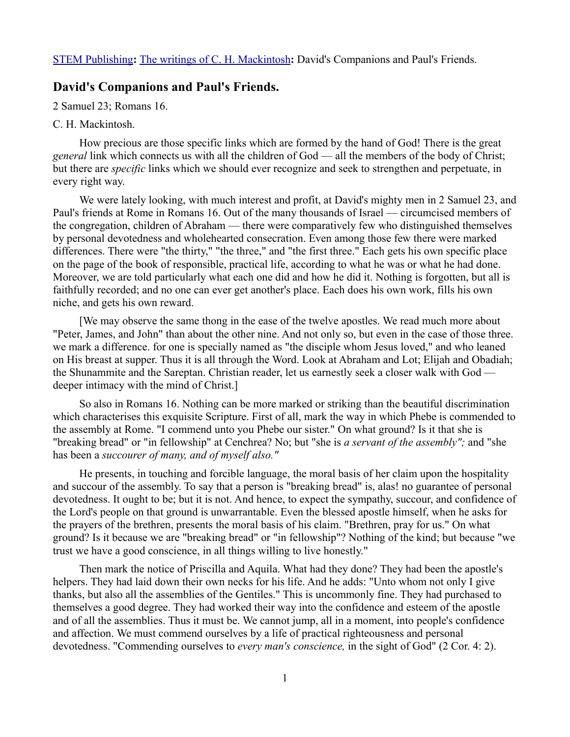## **David's Companions and Paul's Friends.**

2 Samuel 23; Romans 16.

## C. H. Mackintosh.

How precious are those specific links which are formed by the hand of God! There is the great *general* link which connects us with all the children of God — all the members of the body of Christ; but there are *specific* links which we should ever recognize and seek to strengthen and perpetuate, in every right way.

We were lately looking, with much interest and profit, at David's mighty men in 2 Samuel 23, and Paul's friends at Rome in Romans 16. Out of the many thousands of Israel — circumcised members of the congregation, children of Abraham — there were comparatively few who distinguished themselves by personal devotedness and wholehearted consecration. Even among those few there were marked differences. There were "the thirty," "the three," and "the first three." Each gets his own specific place on the page of the book of responsible, practical life, according to what he was or what he had done. Moreover, we are told particularly what each one did and how he did it. Nothing is forgotten, but all is faithfully recorded; and no one can ever get another's place. Each does his own work, fills his own niche, and gets his own reward.

[We may observe the same thong in the ease of the twelve apostles. We read much more about "Peter, James, and John" than about the other nine. And not only so, but even in the case of those three. we mark a difference. for one is specially named as "the disciple whom Jesus loved," and who leaned on His breast at supper. Thus it is all through the Word. Look at Abraham and Lot; Elijah and Obadiah; the Shunammite and the Sareptan. Christian reader, let us earnestly seek a closer walk with God deeper intimacy with the mind of Christ.]

So also in Romans 16. Nothing can be more marked or striking than the beautiful discrimination which characterises this exquisite Scripture. First of all, mark the way in which Phebe is commended to the assembly at Rome. "I commend unto you Phebe our sister." On what ground? Is it that she is "breaking bread" or "in fellowship" at Cenchrea? No; but "she is *a servant of the assembly";* and "she has been a *succourer of many, and of myself also."* 

He presents, in touching and forcible language, the moral basis of her claim upon the hospitality and succour of the assembly. To say that a person is "breaking bread" is, alas! no guarantee of personal devotedness. It ought to be; but it is not. And hence, to expect the sympathy, succour, and confidence of the Lord's people on that ground is unwarrantable. Even the blessed apostle himself, when he asks for the prayers of the brethren, presents the moral basis of his claim. "Brethren, pray for us." On what ground? Is it because we are "breaking bread" or "in fellowship"? Nothing of the kind; but because "we trust we have a good conscience, in all things willing to live honestly."

Then mark the notice of Priscilla and Aquila. What had they done? They had been the apostle's helpers. They had laid down their own necks for his life. And he adds: "Unto whom not only I give thanks, but also all the assemblies of the Gentiles." This is uncommonly fine. They had purchased to themselves a good degree. They had worked their way into the confidence and esteem of the apostle and of all the assemblies. Thus it must be. We cannot jump, all in a moment, into people's confidence and affection. We must commend ourselves by a life of practical righteousness and personal devotedness. "Commending ourselves to *every man's conscience,* in the sight of God" (2 Cor. 4: 2).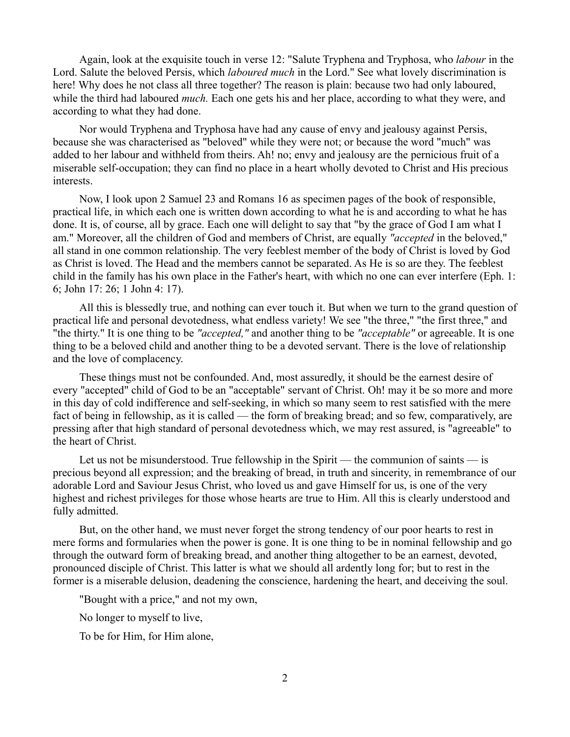Again, look at the exquisite touch in verse 12: "Salute Tryphena and Tryphosa, who *labour* in the Lord. Salute the beloved Persis, which *laboured much* in the Lord." See what lovely discrimination is here! Why does he not class all three together? The reason is plain: because two had only laboured, while the third had laboured *much*. Each one gets his and her place, according to what they were, and according to what they had done.

Nor would Tryphena and Tryphosa have had any cause of envy and jealousy against Persis, because she was characterised as "beloved" while they were not; or because the word "much" was added to her labour and withheld from theirs. Ah! no; envy and jealousy are the pernicious fruit of a miserable self-occupation; they can find no place in a heart wholly devoted to Christ and His precious interests.

Now, I look upon 2 Samuel 23 and Romans 16 as specimen pages of the book of responsible, practical life, in which each one is written down according to what he is and according to what he has done. It is, of course, all by grace. Each one will delight to say that "by the grace of God I am what I am." Moreover, all the children of God and members of Christ, are equally *"accepted* in the beloved," all stand in one common relationship. The very feeblest member of the body of Christ is loved by God as Christ is loved. The Head and the members cannot be separated. As He is so are they. The feeblest child in the family has his own place in the Father's heart, with which no one can ever interfere (Eph. 1: 6; John 17: 26; 1 John 4: 17).

All this is blessedly true, and nothing can ever touch it. But when we turn to the grand question of practical life and personal devotedness, what endless variety! We see "the three," "the first three," and "the thirty." It is one thing to be *"accepted,"* and another thing to be *"acceptable"* or agreeable. It is one thing to be a beloved child and another thing to be a devoted servant. There is the love of relationship and the love of complacency.

These things must not be confounded. And, most assuredly, it should be the earnest desire of every "accepted" child of God to be an "acceptable" servant of Christ. Oh! may it be so more and more in this day of cold indifference and self-seeking, in which so many seem to rest satisfied with the mere fact of being in fellowship, as it is called — the form of breaking bread; and so few, comparatively, are pressing after that high standard of personal devotedness which, we may rest assured, is "agreeable" to the heart of Christ.

Let us not be misunderstood. True fellowship in the Spirit — the communion of saints — is precious beyond all expression; and the breaking of bread, in truth and sincerity, in remembrance of our adorable Lord and Saviour Jesus Christ, who loved us and gave Himself for us, is one of the very highest and richest privileges for those whose hearts are true to Him. All this is clearly understood and fully admitted.

But, on the other hand, we must never forget the strong tendency of our poor hearts to rest in mere forms and formularies when the power is gone. It is one thing to be in nominal fellowship and go through the outward form of breaking bread, and another thing altogether to be an earnest, devoted, pronounced disciple of Christ. This latter is what we should all ardently long for; but to rest in the former is a miserable delusion, deadening the conscience, hardening the heart, and deceiving the soul.

"Bought with a price," and not my own,

No longer to myself to live,

To be for Him, for Him alone,